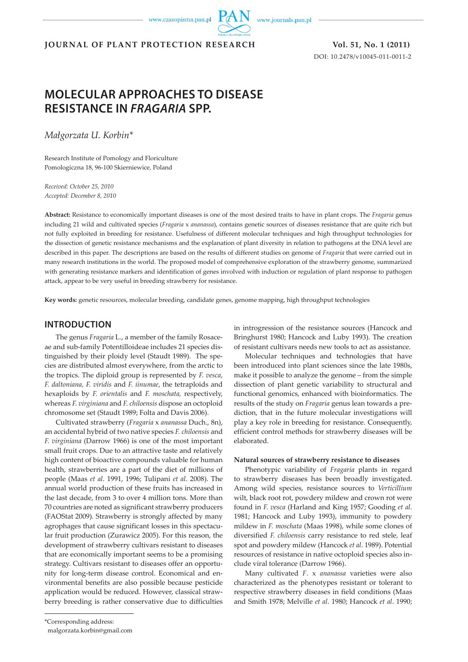www.czasopisma.pan.pl

www.journals.pan.pl

## **JOURNAL OF PLANT PROTECTION RESEARCH Vol. 51, No. 1 (2011)**

DOI: 10.2478/v10045-011-0011-2

# **MOLECULAR APPROACHES TO DISEASE RESISTANCE IN** *FRAGARIA* **SPP.**

*Małgorzata U. Korbin\**

Research Institute of Pomology and Floriculture Pomologiczna 18, 96-100 Skierniewice, Poland

*Received: October 25, 2010 Accepted: December 8, 2010*

**Abstract:** Resistance to economically important diseases is one of the most desired traits to have in plant crops. The *Fragaria* genus including 21 wild and cultivated species (*Fragaria* x *ananassa*), contains genetic sources of diseases resistance that are quite rich but not fully exploited in breeding for resistance. Usefulness of different molecular techniques and high throughput technologies for the dissection of genetic resistance mechanisms and the explanation of plant diversity in relation to pathogens at the DNA level are described in this paper. The descriptions are based on the results of different studies on genome of *Fragaria* that were carried out in many research institutions in the world. The proposed model of comprehensive exploration of the strawberry genome, summarized with generating resistance markers and identification of genes involved with induction or regulation of plant response to pathogen attack, appear to be very useful in breeding strawberry for resistance.

**Key words:** genetic resources, molecular breeding, candidate genes, genome mapping, high throughput technologies

### **INTRODUCTION**

The genus *Fragaria* L., a member of the family Rosaceae and sub-family Potentilloideae includes 21 species distinguished by their ploidy level (Staudt 1989). The species are distributed almost everywhere, from the arctic to the tropics. The diploid group is represented by *F. vesca*, *F. daltoniana, F. viridis* and *F. iinumae*, the tetraploids and hexaploids by *F. orientalis* and *F. moschata,* respectively, whereas *F. virginiana* and *F. chiloensis* dispose an octoploid chromosome set (Staudt 1989; Folta and Davis 2006).

Cultivated strawberry (*Fragaria* x *ananassa* Duch., 8n), an accidental hybrid of two native species *F. chiloensis* and *F. virginiana* (Darrow 1966) is one of the most important small fruit crops. Due to an attractive taste and relatively high content of bioactive compounds valuable for human health, strawberries are a part of the diet of millions of people (Maas *et al*. 1991, 1996; Tulipani *et al*. 2008). The annual world production of these fruits has increased in the last decade, from 3 to over 4 million tons. More than 70 countries are noted as significant strawberry producers (FAOStat 2009). Strawberry is strongly affected by many agrophages that cause significant losses in this spectacular fruit production (Zurawicz 2005). For this reason, the development of strawberry cultivars resistant to diseases that are economically important seems to be a promising strategy. Cultivars resistant to diseases offer an opportunity for long-term disease control. Economical and environmental benefits are also possible because pesticide application would be reduced. However, classical strawberry breeding is rather conservative due to difficulties

in introgression of the resistance sources (Hancock and Bringhurst 1980; Hancock and Luby 1993). The creation of resistant cultivars needs new tools to act as assistance.

Molecular techniques and technologies that have been introduced into plant sciences since the late 1980s, make it possible to analyze the genome – from the simple dissection of plant genetic variability to structural and functional genomics, enhanced with bioinformatics. The results of the study on *Fragaria* genus lean towards a prediction, that in the future molecular investigations will play a key role in breeding for resistance. Consequently, efficient control methods for strawberry diseases will be elaborated.

#### **Natural sources of strawberry resistance to diseases**

Phenotypic variability of *Fragaria* plants in regard to strawberry diseases has been broadly investigated. Among wild species, resistance sources to *Verticillium* wilt, black root rot, powdery mildew and crown rot were found in *F. vesca* (Harland and King 1957; Gooding *et al.* 1981; Hancock and Luby 1993), immunity to powdery mildew in *F. moschata* (Maas 1998), while some clones of diversified *F. chiloensis* carry resistance to red stele, leaf spot and powdery mildew (Hancock *et al*. 1989). Potential resources of resistance in native octoploid species also include viral tolerance (Darrow 1966).

Many cultivated *F*. x *ananassa* varieties were also characterized as the phenotypes resistant or tolerant to respective strawberry diseases in field conditions (Maas and Smith 1978; Melville *et al*. 1980; Hancock *et al*. 1990;

malgorzata.korbin@gmail.com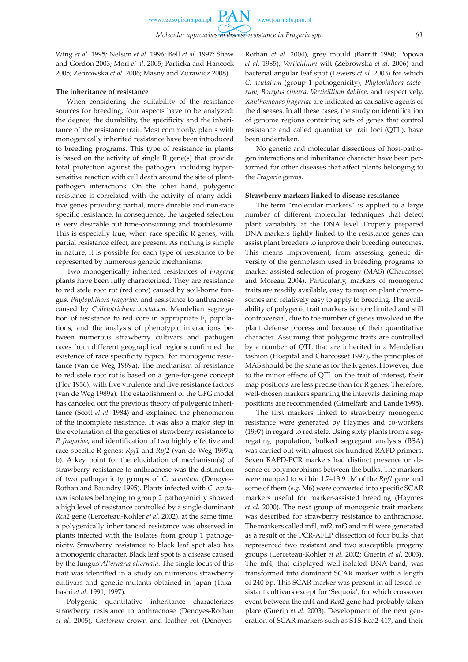www.journals.pan.pl

**PAN** 

Wing *et al*. 1995; Nelson *et al*. 1996; Bell *et al*. 1997; Shaw and Gordon 2003; Mori *et al*. 2005; Particka and Hancock 2005; Zebrowska *et al*. 2006; Masny and Zurawicz 2008).

#### **The inheritance of resistance**

When considering the suitability of the resistance sources for breeding, four aspects have to be analyzed: the degree, the durability, the specificity and the inheritance of the resistance trait. Most commonly, plants with monogenically inherited resistance have been introduced to breeding programs. This type of resistance in plants is based on the activity of single R gene(s) that provide total protection against the pathogen, including hypersensitive reaction with cell death around the site of plantpathogen interactions. On the other hand, polygenic resistance is correlated with the activity of many additive genes providing partial, more durable and non-race specific resistance. In consequence, the targeted selection is very desirable but time-consuming and troublesome. This is especially true, when race specific R genes, with partial resistance effect, are present. As nothing is simple in nature, it is possible for each type of resistance to be represented by numerous genetic mechanisms.

Two monogenically inherited resistances of *Fragaria* plants have been fully characterized. They are resistance to red stele root rot (red core) caused by soil-borne fungus, *Phytophthora fragariae,* and resistance to anthracnose caused by *Colletotrichum acutatum*. Mendelian segregation of resistance to red core in appropriate  $F_1$  populations, and the analysis of phenotypic interactions between numerous strawberry cultivars and pathogen races from different geographical regions confirmed the existence of race specificity typical for monogenic resistance (van de Weg 1989a). The mechanism of resistance to red stele root rot is based on a gene-for-gene concept (Flor 1956), with five virulence and five resistance factors (van de Weg 1989a). The establishment of the GFG model has canceled out the previous theory of polygenic inheritance (Scott *et al*. 1984) and explained the phenomenon of the incomplete resistance. It was also a major step in the explanation of the genetics of strawberry resistance to *P. fragariae*, and identification of two highly effective and race specific R genes: *Rpf1* and *Rpf2* (van de Weg 1997a, b). A key point for the elucidation of mechanism(s) of strawberry resistance to anthracnose was the distinction of two pathogenicity groups of *C. acutatum* (Denoyes-Rothan and Baundry 1995). Plants infected with *C. acutatum* isolates belonging to group 2 pathogenicity showed a high level of resistance controlled by a single dominant *Rca2* gene (Lerceteau-Kohler *et al*. 2002), at the same time, a polygenically inheritanced resistance was observed in plants infected with the isolates from group 1 pathogenicity. Strawberry resistance to black leaf spot also has a monogenic character. Black leaf spot is a disease caused by the fungus *Alternaria alternata*. The single locus of this trait was identified in a study on numerous strawberry cultivars and genetic mutants obtained in Japan (Takahashi *et al*. 1991; 1997).

Polygenic quantitative inheritance characterizes strawberry resistance to anthracnose (Denoyes-Rothan *et al*. 2005), *Cactorum* crown and leather rot (DenoyesRothan *et al*. 2004), grey mould (Barritt 1980; Popova *et al.* 1985), *Verticillium* wilt (Zebrowska *et al*. 2006) and bacterial angular leaf spot (Lewers *et al*. 2003) for which *C. acutatum* (group 1 pathogenicity)*, Phytophthora cactorum*, *Botrytis cinerea*, *Verticillium dahliae*, and respectively, *Xanthomonas fragariae* are indicated as causative agents of the diseases. In all these cases, the study on identification of genome regions containing sets of genes that control resistance and called quantitative trait loci (QTL), have been undertaken.

No genetic and molecular dissections of host-pathogen interactions and inheritance character have been performed for other diseases that affect plants belonging to the *Fragaria* genus.

#### **Strawberry markers linked to disease resistance**

The term "molecular markers" is applied to a large number of different molecular techniques that detect plant variability at the DNA level. Properly prepared DNA markers tightly linked to the resistance genes can assist plant breeders to improve their breeding outcomes. This means improvement, from assessing genetic diversity of the germplasm used in breeding programs to marker assisted selection of progeny (MAS) (Charcosset and Moreau 2004). Particularly, markers of monogenic traits are readily available, easy to map on plant chromosomes and relatively easy to apply to breeding. The availability of polygenic trait markers is more limited and still controversial, due to the number of genes involved in the plant defense process and because of their quantitative character. Assuming that polygenic traits are controlled by a number of QTL that are inherited in a Mendelian fashion (Hospital and Charcosset 1997), the principles of MAS should be the same as for the R genes. However, due to the minor effects of QTL on the trait of interest, their map positions are less precise than for R genes. Therefore, well-chosen markers spanning the intervals defining map positions are recommended (Gimelfarb and Lande 1995).

The first markers linked to strawberry monogenic resistance were generated by Haymes and co-workers (1997) in regard to red stele. Using sixty plants from a segregating population, bulked segregant analysis (BSA) was carried out with almost six hundred RAPD primers. Seven RAPD-PCR markers had distinct presence or absence of polymorphisms between the bulks. The markers were mapped to within 1.7–13.9 cM of the *Rpf1* gene and some of them (*e.g.* M6) were converted into specific SCAR markers useful for marker-assisted breeding (Haymes *et al*. 2000). The next group of monogenic trait markers was described for strawberry resistance to anthracnose. The markers called mf1, mf2, mf3 and mf4 were generated as a result of the PCR-AFLP dissection of four bulks that represented two resistant and two susceptible progeny groups (Lerceteau-Kohler *et al*. 2002; Guerin *et al*. 2003). The mf4, that displayed well-isolated DNA band, was transformed into dominant SCAR marker with a length of 240 bp. This SCAR marker was present in all tested resistant cultivars except for 'Sequoia', for which crossover event between the mf4 and *Rca2* gene had probably taken place (Guerin *et al*. 2003). Development of the next generation of SCAR markers such as STS-Rca2-417, and their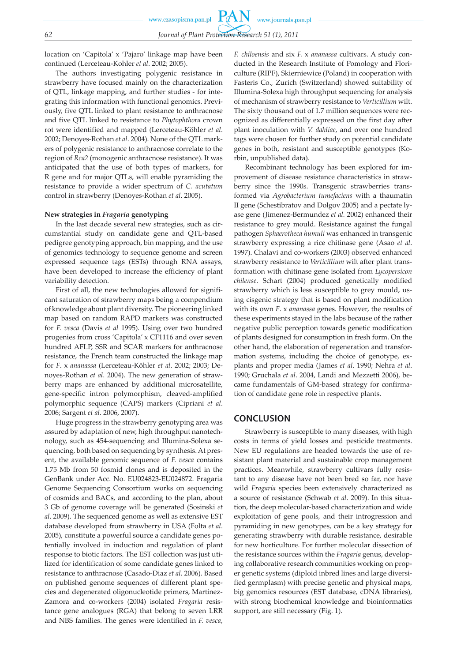location on 'Capitola' x 'Pajaro' linkage map have been continued (Lerceteau-Kohler *et al*. 2002; 2005).

The authors investigating polygenic resistance in strawberry have focused mainly on the characterization of QTL, linkage mapping, and further studies - for integrating this information with functional genomics. Previously, five QTL linked to plant resistance to anthracnose and five QTL linked to resistance to *Phytophthora* crown rot were identified and mapped (Lerceteau-Köhler *et al*. 2002; Denoyes-Rothan *et al*. 2004). None of the QTL markers of polygenic resistance to anthracnose correlate to the region of *Rca2* (monogenic anthracnose resistance). It was anticipated that the use of both types of markers, for R gene and for major QTLs, will enable pyramiding the resistance to provide a wider spectrum of *C. acutatum*  control in strawberry (Denoyes-Rothan *et al*. 2005).

#### **New strategies in** *Fragaria* **genotyping**

In the last decade several new strategies, such as circumstantial study on candidate gene and QTL-based pedigree genotyping approach, bin mapping, and the use of genomics technology to sequence genome and screen expressed sequence tags (ESTs) through RNA assays, have been developed to increase the efficiency of plant variability detection.

First of all, the new technologies allowed for significant saturation of strawberry maps being a compendium of knowledge about plant diversity. The pioneering linked map based on random RAPD markers was constructed for *F. vesca* (Davis *et al* 1995). Using over two hundred progenies from cross 'Capitola' x CF1116 and over seven hundred AFLP, SSR and SCAR markers for anthracnose resistance, the French team constructed the linkage map for *F*. x *ananassa* (Lerceteau-Köhler *et al*. 2002; 2003; Denoyes-Rothan *et al*. 2004). The new generation of strawberry maps are enhanced by additional microsatellite, gene-specific intron polymorphism, cleaved-amplified polymorphic sequence (CAPS) markers (Cipriani *et al*. 2006; Sargent *et al*. 2006, 2007).

Huge progress in the strawberry genotyping area was assured by adaptation of new, high throughput nanotechnology, such as 454-sequencing and Illumina-Solexa sequencing, both based on sequencing by synthesis. At present, the available genomic sequence of *F. vesca* contains 1.75 Mb from 50 fosmid clones and is deposited in the GenBank under Acc. No. EU024823-EU024872. Fragaria Genome Sequencing Consortium works on sequencing of cosmids and BACs, and according to the plan, about 3 Gb of genome coverage will be generated (Sosinski *et al*. 2009). The sequenced genome as well as extensive EST database developed from strawberry in USA (Folta *et al*. 2005), constitute a powerful source a candidate genes potentially involved in induction and regulation of plant response to biotic factors. The EST collection was just utilized for identification of some candidate genes linked to resistance to anthracnose (Casado-Diaz *et al*. 2006). Based on published genome sequences of different plant species and degenerated oligonucleotide primers, Martinez-Zamora and co-workers (2004) isolated *Fragaria* resistance gene analogues (RGA) that belong to seven LRR and NBS families. The genes were identified in *F. vesca*,

*F. chiloensis* and six *F.* x *ananassa* cultivars. A study conducted in the Research Institute of Pomology and Floriculture (RIPF), Skierniewice (Poland) in cooperation with Fasteris Co., Zurich (Switzerland) showed suitability of Illumina-Solexa high throughput sequencing for analysis of mechanism of strawberry resistance to *Verticillium* wilt. The sixty thousand out of 1.7 million sequences were recognized as differentially expressed on the first day after plant inoculation with *V. dahliae*, and over one hundred tags were chosen for further study on potential candidate genes in both, resistant and susceptible genotypes (Korbin, unpublished data).

Recombinant technology has been explored for improvement of disease resistance characteristics in strawberry since the 1990s. Transgenic strawberries transformed via *Agrobacterium tumefaciens* with a thaumatin II gene (Schestibratov and Dolgov 2005) and a pectate lyase gene (Jimenez-Bermundez *et al.* 2002) enhanced their resistance to grey mould. Resistance against the fungal pathogen *Sphaerotheca humuli* was enhanced in transgenic strawberry expressing a rice chitinase gene (Asao *et al*. 1997). Chalavi and co-workers (2003) observed enhanced strawberry resistance to *Verticillium* wilt after plant transformation with chitinase gene isolated from *Lycopersicon chilense*. Schart (2004) produced genetically modified strawberry which is less susceptible to grey mould, using cisgenic strategy that is based on plant modification with its own *F*. x *ananassa* genes. However, the results of these experiments stayed in the labs because of the rather negative public perception towards genetic modification of plants designed for consumption in fresh form. On the other hand, the elaboration of regeneration and transformation systems, including the choice of genotype, explants and proper media (James *et al*. 1990; Nehra *et al*. 1990; Gruchala *et al*. 2004, Landi and Mezzetti 2006), became fundamentals of GM-based strategy for confirmation of candidate gene role in respective plants.

### **CONCLUSION**

Strawberry is susceptible to many diseases, with high costs in terms of yield losses and pesticide treatments. New EU regulations are headed towards the use of resistant plant material and sustainable crop management practices. Meanwhile, strawberry cultivars fully resistant to any disease have not been bred so far, nor have wild *Fragaria* species been extensively characterized as a source of resistance (Schwab *et al*. 2009). In this situation, the deep molecular-based characterization and wide exploitation of gene pools, and their introgression and pyramiding in new genotypes, can be a key strategy for generating strawberry with durable resistance, desirable for new horticulture. For further molecular dissection of the resistance sources within the *Fragaria* genus, developing collaborative research communities working on proper genetic systems (diploid inbred lines and large diversified germplasm) with precise genetic and physical maps, big genomics resources (EST database, cDNA libraries), with strong biochemical knowledge and bioinformatics support, are still necessary (Fig. 1).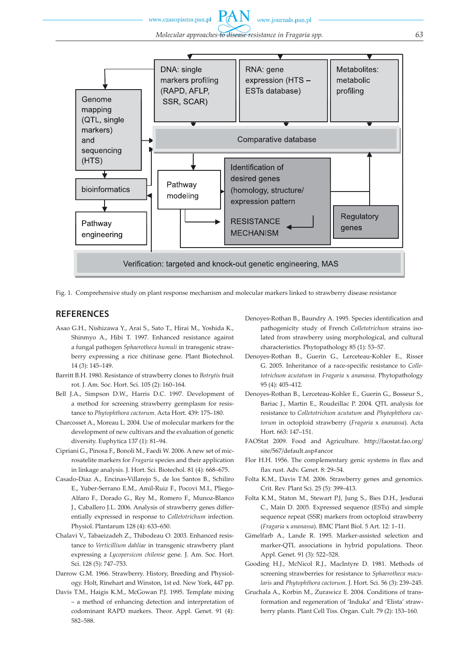www.czasopisma.pan.pl

www.journals.pan.pl



Fig. 1. Comprehensive study on plant response mechanism and molecular markers linked to strawberry disease resistance

### **REFERENCES**

- Asao G.H., Nishizawa Y., Arai S., Sato T., Hirai M., Yoshida K., Shinmyo A., Hibi T. 1997. Enhanced resistance against a fungal pathogen *Sphaerotheca humuli* in transgenic strawberry expressing a rice chitinase gene. Plant Biotechnol. 14 (3): 145–149.
- Barritt B.H. 1980. Resistance of strawberry clones to *Botrytis* fruit rot. J. Am. Soc. Hort. Sci. 105 (2): 160–164.
- Bell J.A., Simpson D.W., Harris D.C. 1997. Development of a method for screening strawberry germplasm for resistance to *Phytophthora cactorum*. Acta Hort. 439: 175–180.
- Charcosset A., Moreau L. 2004. Use of molecular markers for the development of new cultivars and the evaluation of genetic diversity. Euphytica 137 (1): 81–94.
- Cipriani G., Pinosa F., Bonoli M., Faedi W. 2006. A new set of microsatelite markers for *Fragaria* species and their application in linkage analysis. J. Hort. Sci. Biotechol. 81 (4): 668–675.
- Casado-Diaz A., Encinas-Villarejo S., de los Santos B., Schiliro E., Yuber-Serrano E.M., Amil-Ruiz F., Pocovi M.I., Pliego-Alfaro F., Dorado G., Rey M., Romero F., Munoz-Blanco J., Caballero J.L. 2006. Analysis of strawberry genes differentially expressed in response to *Colletotrichum* infection. Physiol. Plantarum 128 (4): 633–650.
- Chalavi V., Tabaeizadeh Z., Thibodeau O. 2003. Enhanced resistance to *Verticillium dahliae* in transgenic strawberry plant expressing a *Lycopersicon chilense* gene. J. Am. Soc. Hort. Sci. 128 (5): 747–753.
- Darrow G.M. 1966. Strawberry. History, Breeding and Physiology. Holt, Rinehart and Winston, 1st ed. New York, 447 pp.
- Davis T.M., Haigis K.M., McGowan P.J. 1995. Template mixing – a method of enhancing detection and interpretation of codominant RAPD markers. Theor. Appl. Genet. 91 (4): 582–588.
- Denoyes-Rothan B., Baundry A. 1995. Species identification and pathogenicity study of French *Colletotrichum* strains isolated from strawberry using morphological, and cultural characteristics. Phytopathology 85 (1): 53–57.
- Denoyes-Rothan B., Guerin G., Lerceteau-Kohler E., Risser G. 2005. Inheritance of a race-specific resistance to *Colletotrichum acutatum* in *Fragaria* x *ananassa*. Phytopathology 95 (4): 405–412.
- Denoyes-Rothan B., Lerceteau-Kohler E., Guerin G., Bosseur S., Bariac J., Martin E., Roudeillac P. 2004. QTL analysis for resistance to *Colletotrichum acutatum* and *Phytophthora cactorum* in octoploid strawberry (*Fragaria* x *ananassa*). Acta Hort. 663: 147–151.
- FAOStat 2009. Food and Agriculture. http://faostat.fao.org/ site/567/default.asp#ancor
- Flor H.H. 1956. The complementary genic systems in flax and flax rust. Adv. Genet. 8: 29–54.
- Folta K.M., Davis T.M. 2006. Strawberry genes and genomics. Crit. Rev. Plant Sci. 25 (5): 399–413.
- Folta K.M., Staton M., Stewart P.J, Jung S., Bies D.H., Jesdurai C., Main D. 2005. Expressed sequence (ESTs) and simple sequence repeat (SSR) markers from octoploid strawberry (*Fragaria* x *ananassa*). BMC Plant Biol. 5 Art. 12: 1–11.
- Gimelfarb A., Lande R. 1995. Marker-assisted selection and marker-QTL associations in hybrid populations. Theor. Appl. Genet. 91 (3): 522–528.
- Gooding H.J., McNicol R.J., MacIntyre D. 1981. Methods of screening strawberries for resistance to *Sphaerotheca macularis* and *Phytophthora cactorum*. J. Hort. Sci. 56 (3): 239–245.
- Gruchala A., Korbin M., Zurawicz E. 2004. Conditions of transformation and regeneration of 'Induka' and 'Elista' strawberry plants. Plant Cell Tiss. Organ. Cult. 79 (2): 153–160.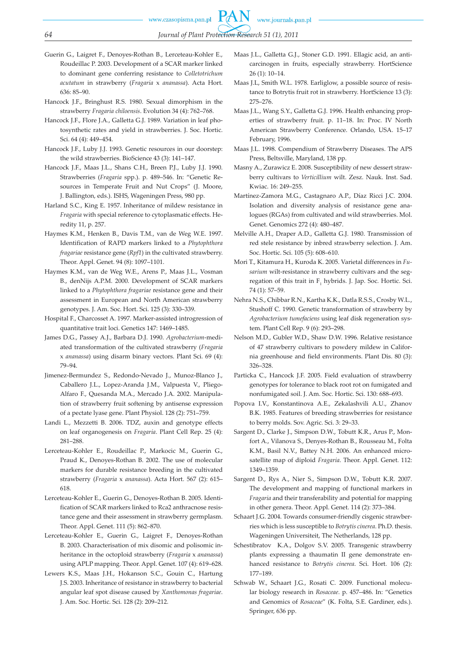- Guerin G., Laigret F., Denoyes-Rothan B., Lerceteau-Kohler E., Roudeillac P. 2003. Development of a SCAR marker linked to dominant gene conferring resistance to *Colletotrichum acutatum* in strawberry (*Fragaria* x *ananassa*). Acta Hort. 636: 85–90.
- Hancock J.F., Bringhust R.S. 1980. Sexual dimorphism in the strawberry *Fragaria chiloensis*. Evolution 34 (4): 762–768.
- Hancock J.F., Flore J.A., Galletta G.J. 1989. Variation in leaf photosynthetic rates and yield in strawberries. J. Soc. Hortic. Sci. 64 (4): 449–454.
- Hancock J.F., Luby J.J. 1993. Genetic resources in our doorstep: the wild strawberries. BioScience 43 (3): 141–147.
- Hancock J.F., Maas J.L., Shans C.H., Breen P.J., Luby J.J. 1990. Strawberries (*Fragaria* spp.). p. 489–546. In: "Genetic Resources in Temperate Fruit and Nut Crops" (J. Moore, J. Ballington, eds.). ISHS, Wageningen Press, 980 pp.
- Harland S.C., King E. 1957. Inheritance of mildew resistance in *Fragaria* with special reference to cytoplasmatic effects. Heredity 11, p. 257.
- Haymes K.M., Henken B., Davis T.M., van de Weg W.E. 1997. Identification of RAPD markers linked to a *Phytophthora fragariae* resistance gene (*Rpf1*) in the cultivated strawberry. Theor. Appl. Genet. 94 (8): 1097–1101.
- Haymes K.M., van de Weg W.E., Arens P., Maas J.L., Vosman B., denNijs A.P.M. 2000. Development of SCAR markers linked to a *Phytophthora fragariae* resistance gene and their assessment in European and North American strawberry genotypes. J. Am. Soc. Hort. Sci. 125 (3): 330–339.
- Hospital F., Charcosset A. 1997. Marker-assisted introgression of quantitative trait loci. Genetics 147: 1469–1485.
- James D.G., Passey A.J., Barbara D.J. 1990. *Agrobacterium*-mediated transformation of the cultivated strawberry (*Fragaria* x *ananassa*) using disarm binary vectors. Plant Sci. 69 (4): 79–94.
- Jimenez-Bermundez S., Redondo-Nevado J., Munoz-Blanco J., Caballero J.L., Lopez-Aranda J.M., Valpuesta V., Pliego-Alfaro F., Quesanda M.A., Mercado J.A. 2002. Manipulation of strawberry fruit softening by antisense expression of a pectate lyase gene. Plant Physiol. 128 (2): 751–759.
- Landi L., Mezzetti B. 2006. TDZ, auxin and genotype effects on leaf organogenesis on *Fragaria*. Plant Cell Rep. 25 (4): 281–288.
- Lerceteau-Kohler E., Roudeillac P., Markocic M., Guerin G., Praud K., Denoyes-Rothan B. 2002. The use of molecular markers for durable resistance breeding in the cultivated strawberry (*Fragaria* x *ananassa*). Acta Hort. 567 (2): 615– 618.
- Lerceteau-Kohler E., Guerin G., Denoyes-Rothan B. 2005. Identification of SCAR markers linked to Rca2 anthracnose resistance gene and their assessment in strawberry germplasm. Theor. Appl. Genet. 111 (5): 862–870.
- Lerceteau-Kohler E., Guerin G., Laigret F., Denoyes-Rothan B. 2003. Characterisation of mix disomic and polisomic inheritance in the octoploid strawberry (*Fragaria* x *ananassa*) using APLP mapping. Theor. Appl. Genet. 107 (4): 619–628.
- Lewers K.S., Maas J.H., Hokanson S.C., Gouin C., Hartung J.S. 2003. Inheritance of resistance in strawberry to bacterial angular leaf spot disease caused by *Xanthomonas fragariae*. J. Am. Soc. Hortic. Sci. 128 (2): 209–212.
- Maas J.L., Galletta G.J., Stoner G.D. 1991. Ellagic acid, an anticarcinogen in fruits, especially strawberry. HortScience 26 (1): 10–14.
- Maas J.L, Smith W.L. 1978. Earliglow, a possible source of resistance to Botrytis fruit rot in strawberry. HortScience 13 (3): 275–276.
- Maas J.L., Wang S.Y., Galletta G.J. 1996. Health enhancing properties of strawberry fruit. p. 11–18. In: Proc. IV North American Strawberry Conference. Orlando, USA. 15–17 February, 1996.
- Maas J.L. 1998. Compendium of Strawberry Diseases. The APS Press, Beltsville, Maryland, 138 pp.
- Masny A., Zurawicz E. 2008. Susceptibility of new dessert strawberry cultivars to *Verticillium* wilt. Zesz. Nauk. Inst. Sad. Kwiac. 16: 249–255.
- Martínez-Zamora M.G., Castagnaro A.P., Díaz Ricci J.C. 2004. Isolation and diversity analysis of resistance gene analogues (RGAs) from cultivated and wild strawberries. Mol. Genet. Genomics 272 (4): 480–487.
- Melville A.H., Draper A.D., Galletta G.J. 1980. Transmission of red stele resistance by inbred strawberry selection. J. Am. Soc. Hortic. Sci. 105 (5): 608–610.
- Mori T., Kitamura H., Kuroda K. 2005. Varietal differences in *Fusarium* wilt-resistance in strawberry cultivars and the segregation of this trait in  $F_1$  hybrids. J. Jap. Soc. Hortic. Sci. 74 (1): 57–59.
- Nehra N.S., Chibbar R.N., Kartha K.K., Datla R.S.S., Crosby W.L., Stushoff C. 1990. Genetic transformation of strawberry by *Agrobacterium tumefaciens* using leaf disk regeneration system. Plant Cell Rep. 9 (6): 293–298.
- Nelson M.D., Gubler W.D., Shaw D.W. 1996. Relative resistance of 47 strawberry cultivars to powdery mildew in California greenhouse and field environments. Plant Dis. 80 (3): 326–328.
- Particka C., Hancock J.F. 2005. Field evaluation of strawberry genotypes for tolerance to black root rot on fumigated and nonfumigated soil. J. Am. Soc. Hortic. Sci. 130: 688–693.
- Popova I.V., Konstantinova A.E., Zekalashvili A.U., Zhanov B.K. 1985. Features of breeding strawberries for resistance to berry molds. Sov. Agric. Sci. 3: 29–33.
- Sargent D., Clarke J., Simpson D.W., Tobutt K.R., Arus P., Monfort A., Vilanova S., Denyes-Rothan B., Rousseau M., Folta K.M., Basil N.V., Battey N.H. 2006. An enhanced microsatellite map of diploid *Fragaria*. Theor. Appl. Genet. 112: 1349–1359.
- Sargent D., Rys A., Nier S., Simpson D.W., Tobutt K.R. 2007. The development and mapping of functional markers in *Fragaria* and their transferability and potential for mapping in other genera. Theor. Appl. Genet. 114 (2): 373–384.
- Schaart J.G. 2004. Towards consumer-friendly cisgenic strawberries which is less susceptible to *Botrytis cinerea*. Ph.D. thesis. Wageningen Universiteit, The Netherlands, 128 pp.
- Schestibratov K.A., Dolgov S.V. 2005. Transgenic strawberry plants expressing a thaumatin II gene demonstrate enhanced resistance to *Botrytis cinerea*. Sci. Hort. 106 (2): 177–189.
- Schwab W., Schaart J.G., Rosati C. 2009. Functional molecular biology research in *Rosaceae*. p. 457–486. In: "Genetics and Genomics of *Rosaceae*" (K. Folta, S.E. Gardiner, eds.). Springer, 636 pp.